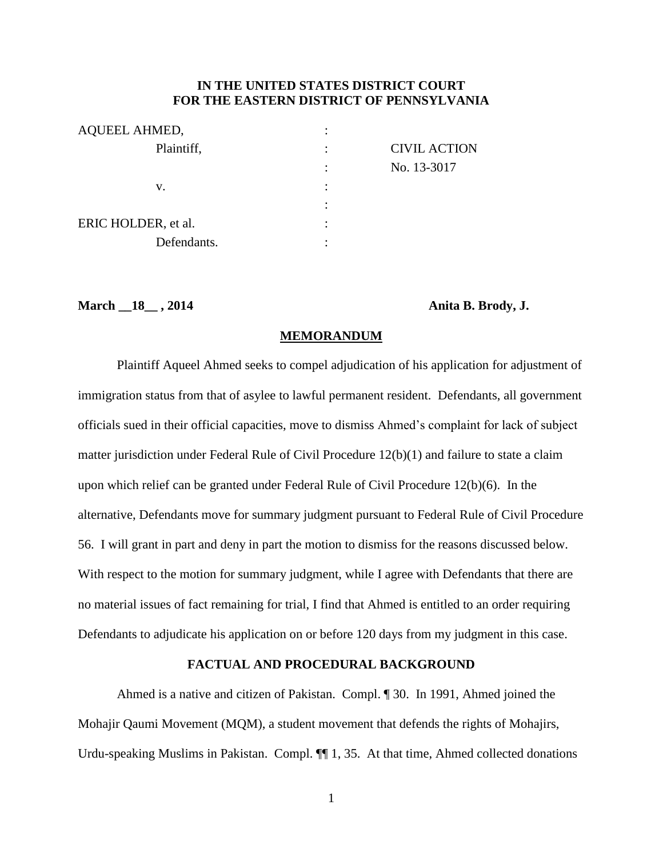# **IN THE UNITED STATES DISTRICT COURT FOR THE EASTERN DISTRICT OF PENNSYLVANIA**

| AQUEEL AHMED,       |           |                     |
|---------------------|-----------|---------------------|
| Plaintiff,          |           | <b>CIVIL ACTION</b> |
|                     |           | No. 13-3017         |
| v.                  | $\bullet$ |                     |
|                     |           |                     |
| ERIC HOLDER, et al. |           |                     |
| Defendants.         |           |                     |

#### **March \_\_18\_\_ , 2014 Anita B. Brody, J.**

#### **MEMORANDUM**

Plaintiff Aqueel Ahmed seeks to compel adjudication of his application for adjustment of immigration status from that of asylee to lawful permanent resident. Defendants, all government officials sued in their official capacities, move to dismiss Ahmed's complaint for lack of subject matter jurisdiction under Federal Rule of Civil Procedure 12(b)(1) and failure to state a claim upon which relief can be granted under Federal Rule of Civil Procedure 12(b)(6). In the alternative, Defendants move for summary judgment pursuant to Federal Rule of Civil Procedure 56. I will grant in part and deny in part the motion to dismiss for the reasons discussed below. With respect to the motion for summary judgment, while I agree with Defendants that there are no material issues of fact remaining for trial, I find that Ahmed is entitled to an order requiring Defendants to adjudicate his application on or before 120 days from my judgment in this case.

# **FACTUAL AND PROCEDURAL BACKGROUND**

Ahmed is a native and citizen of Pakistan. Compl. ¶ 30. In 1991, Ahmed joined the Mohajir Qaumi Movement (MQM), a student movement that defends the rights of Mohajirs, Urdu-speaking Muslims in Pakistan. Compl.  $\P\P$  1, 35. At that time, Ahmed collected donations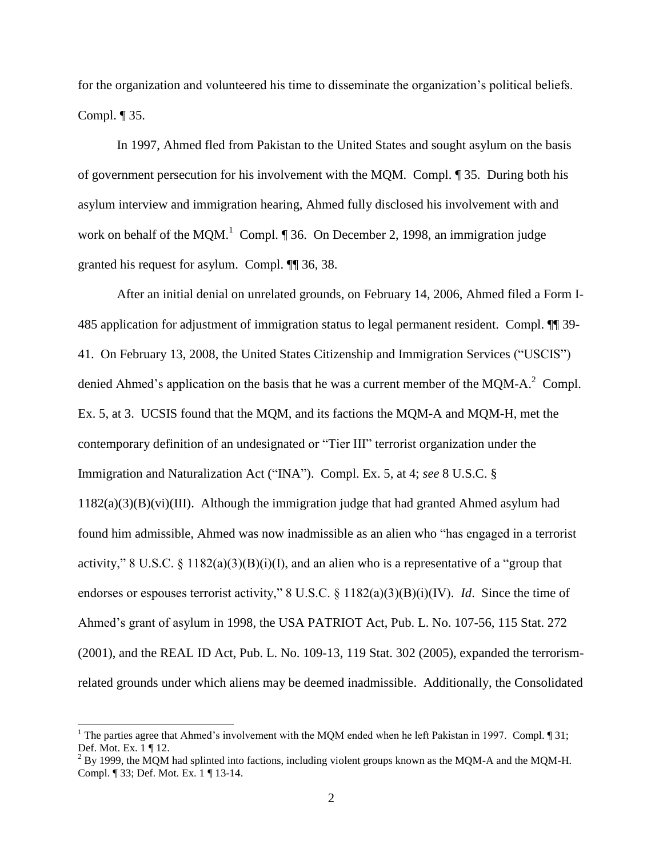for the organization and volunteered his time to disseminate the organization's political beliefs. Compl. ¶ 35.

In 1997, Ahmed fled from Pakistan to the United States and sought asylum on the basis of government persecution for his involvement with the MQM. Compl. ¶ 35. During both his asylum interview and immigration hearing, Ahmed fully disclosed his involvement with and work on behalf of the MQM.<sup>1</sup> Compl.  $\P$  36. On December 2, 1998, an immigration judge granted his request for asylum. Compl. ¶¶ 36, 38.

After an initial denial on unrelated grounds, on February 14, 2006, Ahmed filed a Form I-485 application for adjustment of immigration status to legal permanent resident. Compl. ¶¶ 39- 41. On February 13, 2008, the United States Citizenship and Immigration Services ("USCIS") denied Ahmed's application on the basis that he was a current member of the MQM-A. $^{2}$  Compl. Ex. 5, at 3. UCSIS found that the MQM, and its factions the MQM-A and MQM-H, met the contemporary definition of an undesignated or "Tier III" terrorist organization under the Immigration and Naturalization Act ("INA"). Compl. Ex. 5, at 4; *see* 8 U.S.C. § 1182(a)(3)(B)(vi)(III). Although the immigration judge that had granted Ahmed asylum had found him admissible, Ahmed was now inadmissible as an alien who "has engaged in a terrorist activity," 8 U.S.C. § 1182(a)(3)(B)(i)(I), and an alien who is a representative of a "group that endorses or espouses terrorist activity," 8 U.S.C. § 1182(a)(3)(B)(i)(IV). *Id*. Since the time of Ahmed's grant of asylum in 1998, the USA PATRIOT Act, Pub. L. No. 107-56, 115 Stat. 272 (2001), and the REAL ID Act, Pub. L. No. 109-13, 119 Stat. 302 (2005), expanded the terrorismrelated grounds under which aliens may be deemed inadmissible. Additionally, the Consolidated

 $\overline{a}$ 

<sup>&</sup>lt;sup>1</sup> The parties agree that Ahmed's involvement with the MQM ended when he left Pakistan in 1997. Compl.  $\P$ 31; Def. Mot. Ex. 1 ¶ 12.

 $^{2}$  By 1999, the MQM had splinted into factions, including violent groups known as the MQM-A and the MQM-H. Compl. ¶ 33; Def. Mot. Ex. 1 ¶ 13-14.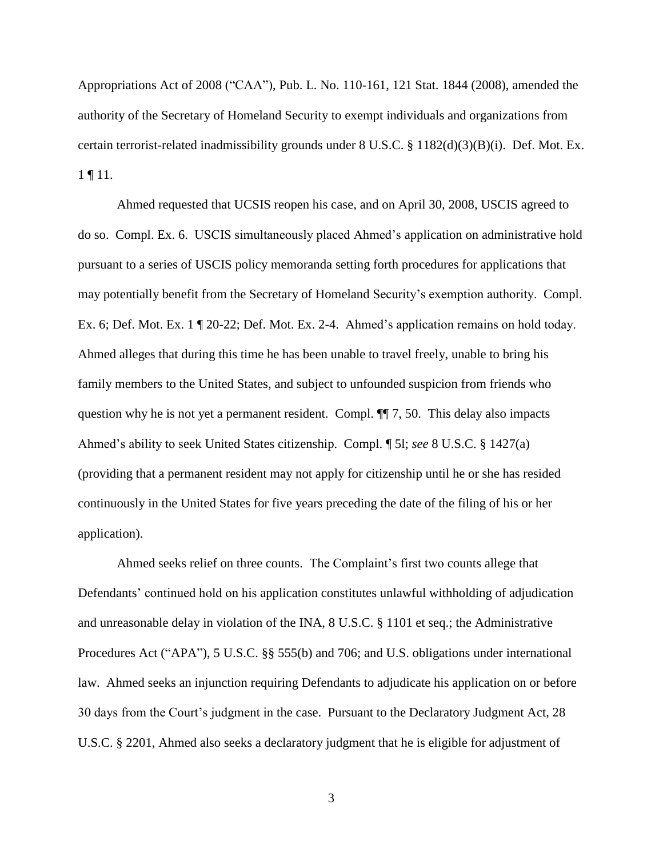Appropriations Act of 2008 ("CAA"), Pub. L. No. 110-161, 121 Stat. 1844 (2008), amended the authority of the Secretary of Homeland Security to exempt individuals and organizations from certain terrorist-related inadmissibility grounds under 8 U.S.C. § 1182(d)(3)(B)(i). Def. Mot. Ex. 1 ¶ 11.

Ahmed requested that UCSIS reopen his case, and on April 30, 2008, USCIS agreed to do so. Compl. Ex. 6. USCIS simultaneously placed Ahmed's application on administrative hold pursuant to a series of USCIS policy memoranda setting forth procedures for applications that may potentially benefit from the Secretary of Homeland Security's exemption authority. Compl. Ex. 6; Def. Mot. Ex. 1 ¶ 20-22; Def. Mot. Ex. 2-4. Ahmed's application remains on hold today. Ahmed alleges that during this time he has been unable to travel freely, unable to bring his family members to the United States, and subject to unfounded suspicion from friends who question why he is not yet a permanent resident. Compl. ¶¶ 7, 50. This delay also impacts Ahmed's ability to seek United States citizenship. Compl. ¶ 5l; *see* 8 U.S.C. § 1427(a) (providing that a permanent resident may not apply for citizenship until he or she has resided continuously in the United States for five years preceding the date of the filing of his or her application).

Ahmed seeks relief on three counts. The Complaint's first two counts allege that Defendants' continued hold on his application constitutes unlawful withholding of adjudication and unreasonable delay in violation of the INA, 8 U.S.C. § 1101 et seq.; the Administrative Procedures Act ("APA"), 5 U.S.C. §§ 555(b) and 706; and U.S. obligations under international law. Ahmed seeks an injunction requiring Defendants to adjudicate his application on or before 30 days from the Court's judgment in the case. Pursuant to the Declaratory Judgment Act, 28 U.S.C. § 2201, Ahmed also seeks a declaratory judgment that he is eligible for adjustment of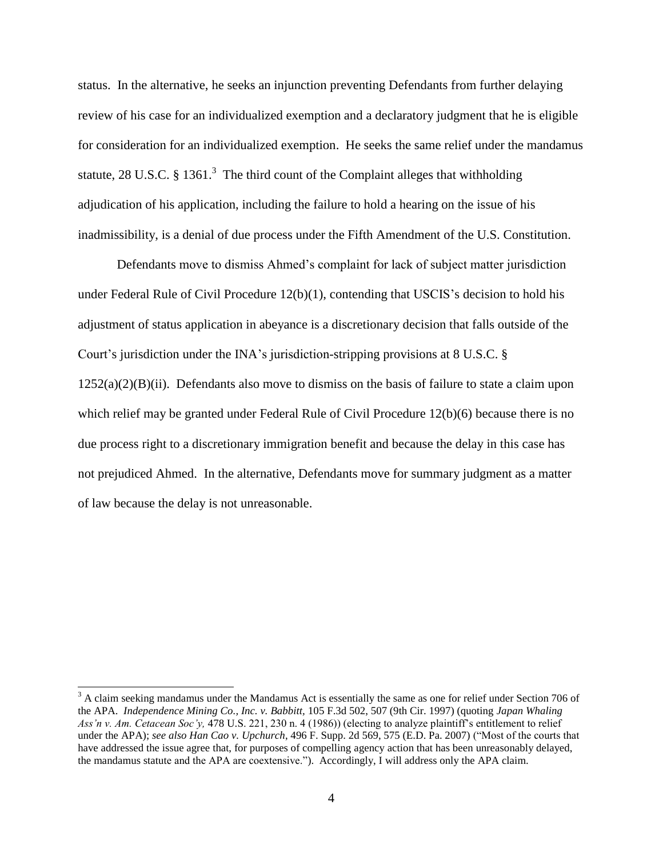status. In the alternative, he seeks an injunction preventing Defendants from further delaying review of his case for an individualized exemption and a declaratory judgment that he is eligible for consideration for an individualized exemption. He seeks the same relief under the mandamus statute, 28 U.S.C. § 1361.<sup>3</sup> The third count of the Complaint alleges that withholding adjudication of his application, including the failure to hold a hearing on the issue of his inadmissibility, is a denial of due process under the Fifth Amendment of the U.S. Constitution.

Defendants move to dismiss Ahmed's complaint for lack of subject matter jurisdiction under Federal Rule of Civil Procedure 12(b)(1), contending that USCIS's decision to hold his adjustment of status application in abeyance is a discretionary decision that falls outside of the Court's jurisdiction under the INA's jurisdiction-stripping provisions at 8 U.S.C. §  $1252(a)(2)(B)(ii)$ . Defendants also move to dismiss on the basis of failure to state a claim upon which relief may be granted under Federal Rule of Civil Procedure 12(b)(6) because there is no due process right to a discretionary immigration benefit and because the delay in this case has not prejudiced Ahmed. In the alternative, Defendants move for summary judgment as a matter of law because the delay is not unreasonable.

 $\overline{a}$ 

 $3$  A claim seeking mandamus under the Mandamus Act is essentially the same as one for relief under Section 706 of the APA. *Independence Mining Co., Inc. v. Babbitt,* 105 F.3d 502, 507 (9th Cir. 1997) (quoting *Japan Whaling Ass'n v. Am. Cetacean Soc'y,* 478 U.S. 221, 230 n. 4 (1986)) (electing to analyze plaintiff's entitlement to relief under the APA); *see also Han Cao v. Upchurch*, 496 F. Supp. 2d 569, 575 (E.D. Pa. 2007) ("Most of the courts that have addressed the issue agree that, for purposes of compelling agency action that has been unreasonably delayed, the mandamus statute and the APA are coextensive."). Accordingly, I will address only the APA claim.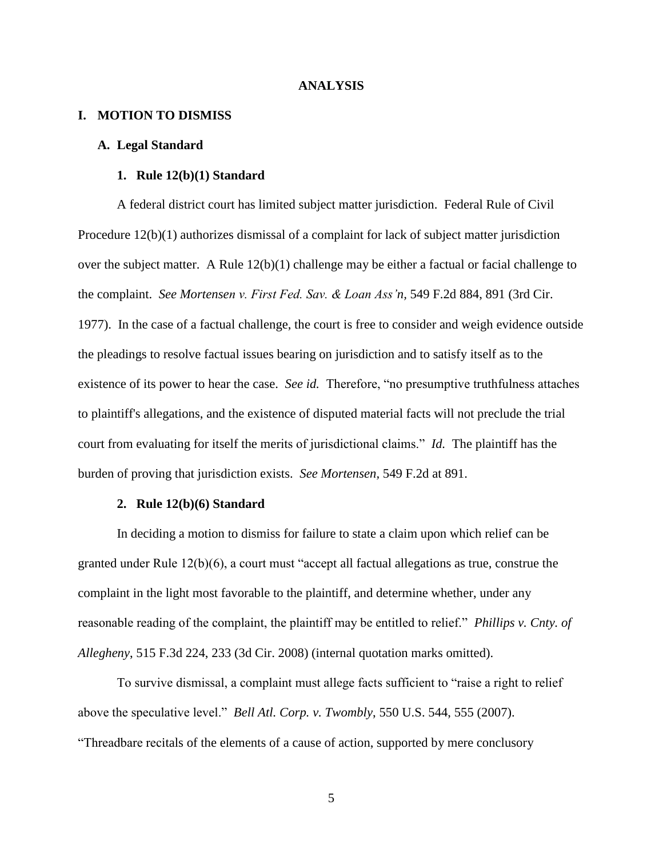#### **ANALYSIS**

# **I. MOTION TO DISMISS**

# **A. Legal Standard**

### **1. Rule 12(b)(1) Standard**

A federal district court has limited subject matter jurisdiction. Federal Rule of Civil Procedure 12(b)(1) authorizes dismissal of a complaint for lack of subject matter jurisdiction over the subject matter. A Rule 12(b)(1) challenge may be either a factual or facial challenge to the complaint. *See Mortensen v. First Fed. Sav. & Loan Ass'n,* 549 F.2d 884, 891 (3rd Cir. 1977). In the case of a factual challenge, the court is free to consider and weigh evidence outside the pleadings to resolve factual issues bearing on jurisdiction and to satisfy itself as to the existence of its power to hear the case. *See id.* Therefore, "no presumptive truthfulness attaches to plaintiff's allegations, and the existence of disputed material facts will not preclude the trial court from evaluating for itself the merits of jurisdictional claims." *Id.* The plaintiff has the burden of proving that jurisdiction exists. *See Mortensen,* 549 F.2d at 891.

### **2. Rule 12(b)(6) Standard**

In deciding a motion to dismiss for failure to state a claim upon which relief can be granted under Rule 12(b)(6), a court must "accept all factual allegations as true, construe the complaint in the light most favorable to the plaintiff, and determine whether, under any reasonable reading of the complaint, the plaintiff may be entitled to relief." *Phillips v. Cnty. of Allegheny*, 515 F.3d 224, 233 (3d Cir. 2008) (internal quotation marks omitted).

To survive dismissal, a complaint must allege facts sufficient to "raise a right to relief above the speculative level." *Bell Atl. Corp. v. Twombly*, 550 U.S. 544, 555 (2007). "Threadbare recitals of the elements of a cause of action, supported by mere conclusory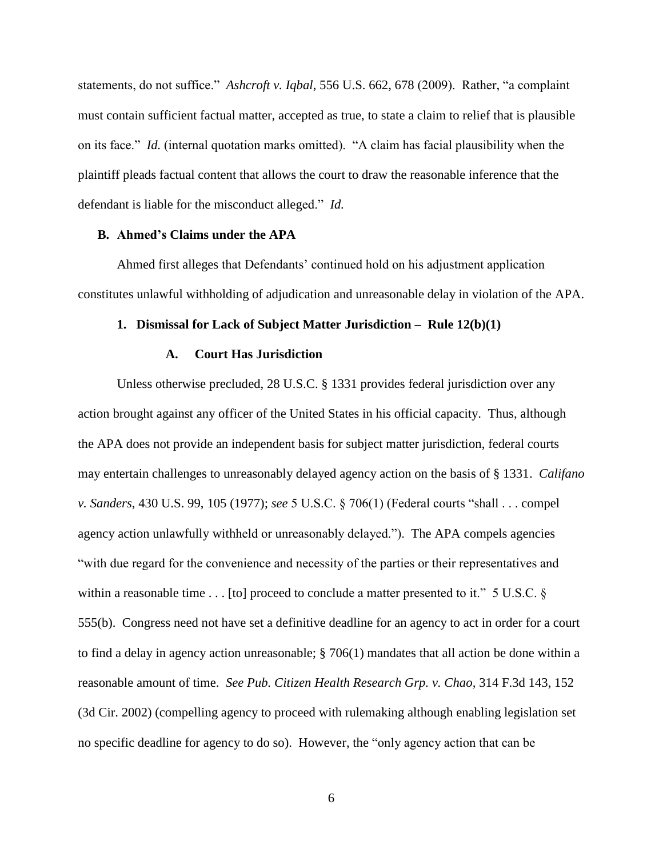statements, do not suffice." *Ashcroft v. Iqbal*, 556 U.S. 662, 678 (2009). Rather, "a complaint must contain sufficient factual matter, accepted as true, to state a claim to relief that is plausible on its face." *Id.* (internal quotation marks omitted). "A claim has facial plausibility when the plaintiff pleads factual content that allows the court to draw the reasonable inference that the defendant is liable for the misconduct alleged." *Id.*

# **B. Ahmed's Claims under the APA**

Ahmed first alleges that Defendants' continued hold on his adjustment application constitutes unlawful withholding of adjudication and unreasonable delay in violation of the APA.

# **1. Dismissal for Lack of Subject Matter Jurisdiction – Rule 12(b)(1)**

#### **A. Court Has Jurisdiction**

Unless otherwise precluded, 28 U.S.C. § 1331 provides federal jurisdiction over any action brought against any officer of the United States in his official capacity. Thus, although the APA does not provide an independent basis for subject matter jurisdiction, federal courts may entertain challenges to unreasonably delayed agency action on the basis of § 1331. *Califano v. Sanders*, 430 U.S. 99, 105 (1977); *see* 5 U.S.C. § 706(1) (Federal courts "shall . . . compel agency action unlawfully withheld or unreasonably delayed."). The APA compels agencies "with due regard for the convenience and necessity of the parties or their representatives and within a reasonable time . . . [to] proceed to conclude a matter presented to it." 5 U.S.C. § 555(b). Congress need not have set a definitive deadline for an agency to act in order for a court to find a delay in agency action unreasonable; § 706(1) mandates that all action be done within a reasonable amount of time. *See Pub. Citizen Health Research Grp. v. Chao,* 314 F.3d 143, 152 (3d Cir. 2002) (compelling agency to proceed with rulemaking although enabling legislation set no specific deadline for agency to do so). However, the "only agency action that can be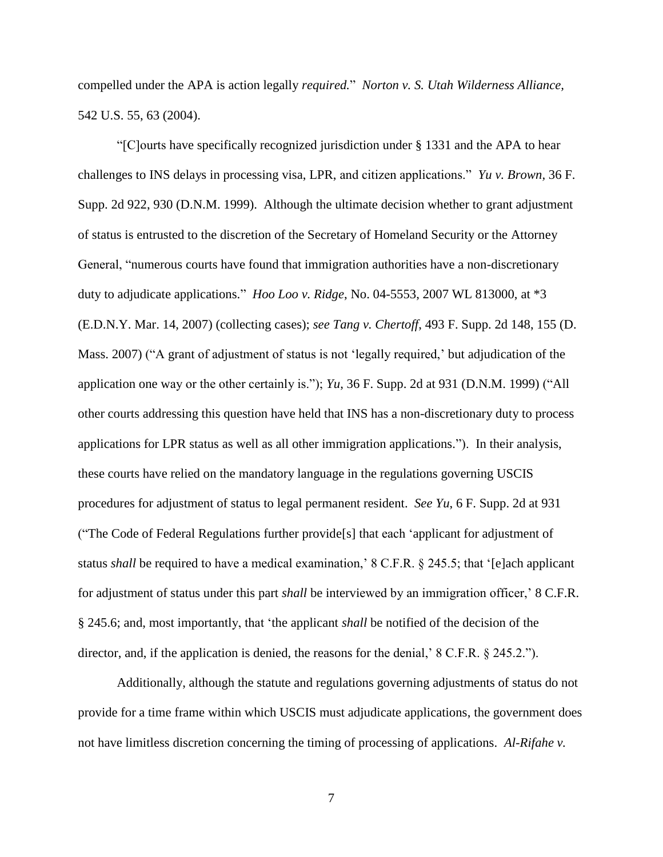compelled under the APA is action legally *required.*" *Norton v. S. Utah Wilderness Alliance,* 542 U.S. 55, 63 (2004).

"[C]ourts have specifically recognized jurisdiction under § 1331 and the APA to hear challenges to INS delays in processing visa, LPR, and citizen applications." *Yu v. Brown,* 36 F. Supp. 2d 922, 930 (D.N.M. 1999). Although the ultimate decision whether to grant adjustment of status is entrusted to the discretion of the Secretary of Homeland Security or the Attorney General, "numerous courts have found that immigration authorities have a non-discretionary duty to adjudicate applications." *Hoo Loo v. Ridge*, No. 04-5553, 2007 WL 813000, at \*3 (E.D.N.Y. Mar. 14, 2007) (collecting cases); *see Tang v. Chertoff*, 493 F. Supp. 2d 148, 155 (D. Mass. 2007) ("A grant of adjustment of status is not 'legally required,' but adjudication of the application one way or the other certainly is."); *Yu*, 36 F. Supp. 2d at 931 (D.N.M. 1999) ("All other courts addressing this question have held that INS has a non-discretionary duty to process applications for LPR status as well as all other immigration applications."). In their analysis, these courts have relied on the mandatory language in the regulations governing USCIS procedures for adjustment of status to legal permanent resident. *See Yu*, 6 F. Supp. 2d at 931 ("The Code of Federal Regulations further provide[s] that each 'applicant for adjustment of status *shall* be required to have a medical examination,' 8 C.F.R. § 245.5; that '[e]ach applicant for adjustment of status under this part *shall* be interviewed by an immigration officer,' 8 C.F.R. § 245.6; and, most importantly, that 'the applicant *shall* be notified of the decision of the director, and, if the application is denied, the reasons for the denial,' 8 C.F.R. § 245.2.").

Additionally, although the statute and regulations governing adjustments of status do not provide for a time frame within which USCIS must adjudicate applications, the government does not have limitless discretion concerning the timing of processing of applications. *Al-Rifahe v.*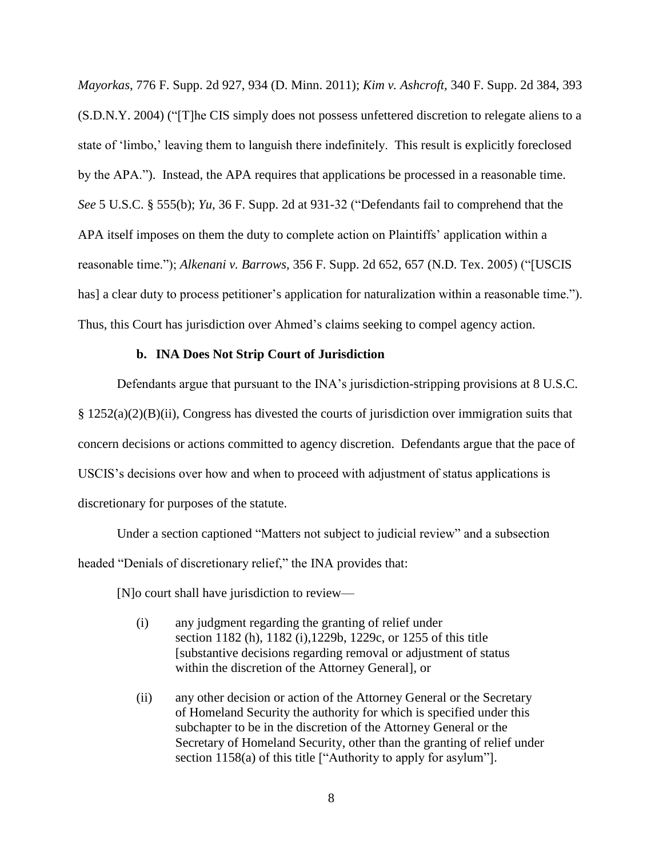*Mayorkas*, 776 F. Supp. 2d 927, 934 (D. Minn. 2011); *Kim v. Ashcroft,* 340 F. Supp. 2d 384, 393 (S.D.N.Y. 2004) ("[T]he CIS simply does not possess unfettered discretion to relegate aliens to a state of 'limbo,' leaving them to languish there indefinitely. This result is explicitly foreclosed by the APA."). Instead, the APA requires that applications be processed in a reasonable time. *See* 5 U.S.C. § 555(b); *Yu*, 36 F. Supp. 2d at 931-32 ("Defendants fail to comprehend that the APA itself imposes on them the duty to complete action on Plaintiffs' application within a reasonable time."); *Alkenani v. Barrows,* 356 F. Supp. 2d 652, 657 (N.D. Tex. 2005) ("[USCIS has] a clear duty to process petitioner's application for naturalization within a reasonable time."). Thus, this Court has jurisdiction over Ahmed's claims seeking to compel agency action.

# **b. INA Does Not Strip Court of Jurisdiction**

Defendants argue that pursuant to the INA's jurisdiction-stripping provisions at 8 U.S.C.  $\S 1252(a)(2)(B)(ii)$ , Congress has divested the courts of jurisdiction over immigration suits that concern decisions or actions committed to agency discretion. Defendants argue that the pace of USCIS's decisions over how and when to proceed with adjustment of status applications is discretionary for purposes of the statute.

Under a section captioned "Matters not subject to judicial review" and a subsection headed "Denials of discretionary relief," the INA provides that:

[N]o court shall have jurisdiction to review—

- (i) any judgment regarding the granting of relief under section [1182](http://www.law.cornell.edu/uscode/text/8/1182) [\(h\),](http://www.law.cornell.edu/uscode/text/8/usc_sec_08_00001182----000-#h) [1182](http://www.law.cornell.edu/uscode/text/8/1182) [\(i\),](http://www.law.cornell.edu/uscode/text/8/usc_sec_08_00001182----000-#i)[1229b,](http://www.law.cornell.edu/uscode/text/8/1229b) [1229c,](http://www.law.cornell.edu/uscode/text/8/1229c) or [1255](http://www.law.cornell.edu/uscode/text/8/1255) of this title [substantive decisions regarding removal or adjustment of status within the discretion of the Attorney General], or
- (ii) any other decision or action of the Attorney General or the Secretary of Homeland Security the authority for which is specified under this subchapter to be in the discretion of the Attorney General or the Secretary of Homeland Security, other than the granting of relief under section 1158(a) of this title ["Authority to apply for asylum"].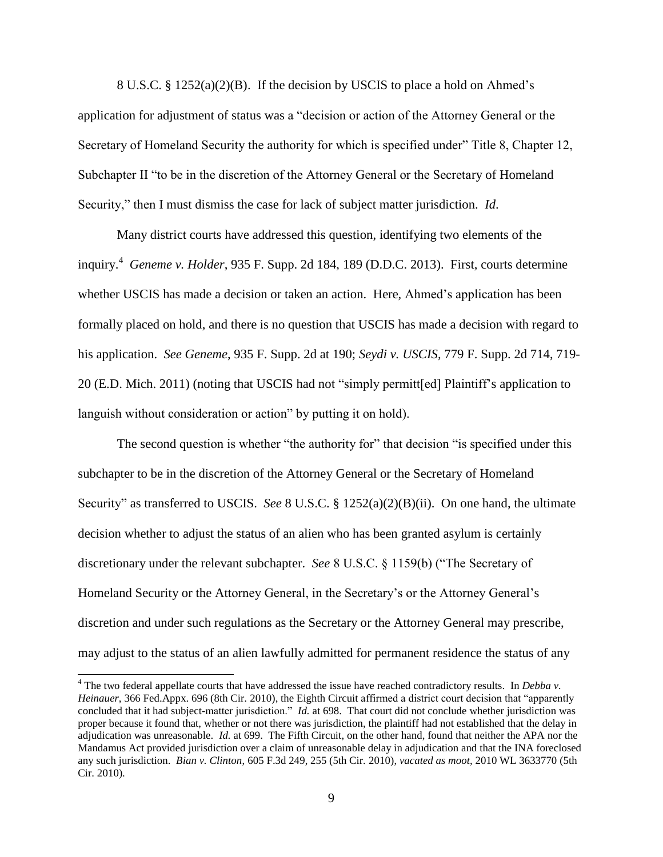8 U.S.C. § 1252(a)(2)(B). If the decision by USCIS to place a hold on Ahmed's application for adjustment of status was a "decision or action of the Attorney General or the Secretary of Homeland Security the authority for which is specified under" Title 8, Chapter 12, Subchapter II "to be in the discretion of the Attorney General or the Secretary of Homeland Security," then I must dismiss the case for lack of subject matter jurisdiction. *Id*.

Many district courts have addressed this question, identifying two elements of the inquiry.<sup>4</sup> *Geneme v. Holder*, 935 F. Supp. 2d 184, 189 (D.D.C. 2013). First, courts determine whether USCIS has made a decision or taken an action. Here, Ahmed's application has been formally placed on hold, and there is no question that USCIS has made a decision with regard to his application. *See Geneme*, 935 F. Supp. 2d at 190; *Seydi v. USCIS,* 779 F. Supp. 2d 714, 719- 20 (E.D. Mich. 2011) (noting that USCIS had not "simply permitt[ed] Plaintiff's application to languish without consideration or action" by putting it on hold).

The second question is whether "the authority for" that decision "is specified under this subchapter to be in the discretion of the Attorney General or the Secretary of Homeland Security" as transferred to USCIS. *See* 8 U.S.C. § 1252(a)(2)(B)(ii). On one hand, the ultimate decision whether to adjust the status of an alien who has been granted asylum is certainly discretionary under the relevant subchapter. *See* 8 U.S.C. § 1159(b) ("The Secretary of Homeland Security or the Attorney General, in the Secretary's or the Attorney General's discretion and under such regulations as the Secretary or the Attorney General may prescribe, may adjust to the status of an alien lawfully admitted for permanent residence the status of any

 $\overline{a}$ 

<sup>4</sup> The two federal appellate courts that have addressed the issue have reached contradictory results. In *Debba v. Heinauer*, 366 Fed.Appx. 696 (8th Cir. 2010), the Eighth Circuit affirmed a district court decision that "apparently concluded that it had subject-matter jurisdiction." *Id.* at 698. That court did not conclude whether jurisdiction was proper because it found that, whether or not there was jurisdiction, the plaintiff had not established that the delay in adjudication was unreasonable. *Id.* at 699. The Fifth Circuit, on the other hand, found that neither the APA nor the Mandamus Act provided jurisdiction over a claim of unreasonable delay in adjudication and that the INA foreclosed any such jurisdiction. *Bian v. Clinton*, 605 F.3d 249, 255 (5th Cir. 2010), *vacated as moot,* 2010 WL 3633770 (5th Cir. 2010).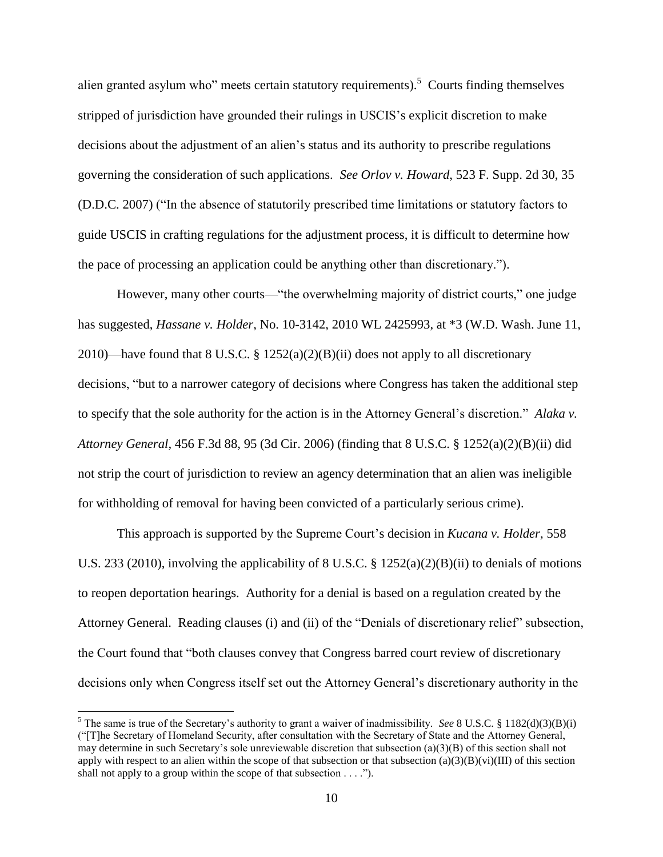alien granted asylum who" meets certain statutory requirements).<sup>5</sup> Courts finding themselves stripped of jurisdiction have grounded their rulings in USCIS's explicit discretion to make decisions about the adjustment of an alien's status and its authority to prescribe regulations governing the consideration of such applications. *See Orlov v. Howard*, 523 F. Supp. 2d 30, 35 (D.D.C. 2007) ("In the absence of statutorily prescribed time limitations or statutory factors to guide USCIS in crafting regulations for the adjustment process, it is difficult to determine how the pace of processing an application could be anything other than discretionary.").

However, many other courts—"the overwhelming majority of district courts," one judge has suggested, *Hassane v. Holder*, No. 10-3142, 2010 WL 2425993, at \*3 (W.D. Wash. June 11, 2010)—have found that 8 U.S.C. §  $1252(a)(2)(B)(ii)$  does not apply to all discretionary decisions, "but to a narrower category of decisions where Congress has taken the additional step to specify that the sole authority for the action is in the Attorney General's discretion." *Alaka v. Attorney General,* 456 F.3d 88, 95 (3d Cir. 2006) (finding that 8 U.S.C. § 1252(a)(2)(B)(ii) did not strip the court of jurisdiction to review an agency determination that an alien was ineligible for withholding of removal for having been convicted of a particularly serious crime).

This approach is supported by the Supreme Court's decision in *Kucana v. Holder,* 558 U.S. 233 (2010), involving the applicability of 8 U.S.C. § 1252(a)(2)(B)(ii) to denials of motions to reopen deportation hearings. Authority for a denial is based on a regulation created by the Attorney General. Reading clauses (i) and (ii) of the "Denials of discretionary relief" subsection, the Court found that "both clauses convey that Congress barred court review of discretionary decisions only when Congress itself set out the Attorney General's discretionary authority in the

 $\overline{a}$ 

<sup>&</sup>lt;sup>5</sup> The same is true of the Secretary's authority to grant a waiver of inadmissibility. *See* 8 U.S.C. § 1182(d)(3)(B)(i) ("[T]he Secretary of Homeland Security, after consultation with the Secretary of State and the Attorney General, may determine in such Secretary's sole unreviewable discretion that subsection (a)(3)(B) of this section shall not apply with respect to an alien within the scope of that subsection or that subsection (a)(3)(B)(vi)(III) of this section shall not apply to a group within the scope of that subsection  $\dots$ .").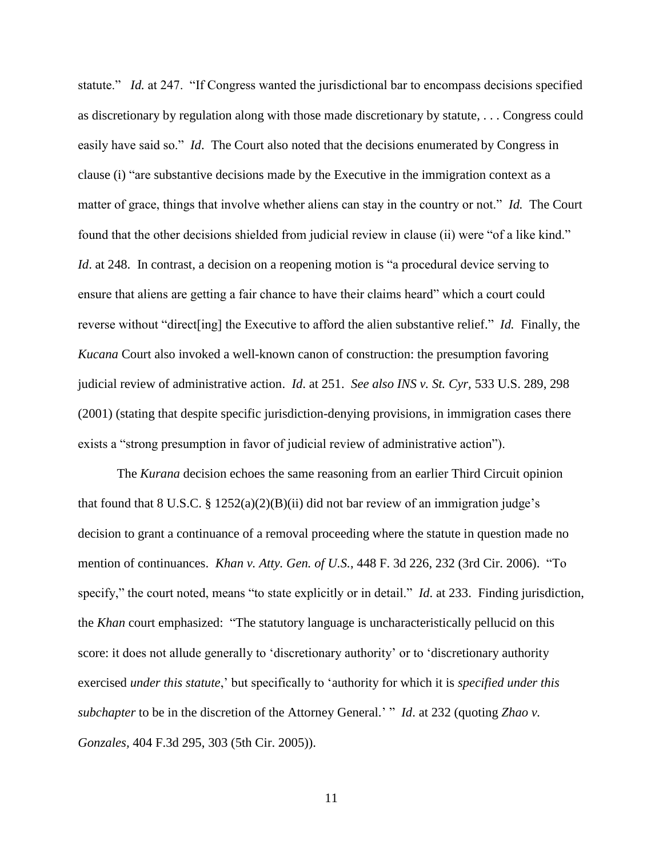statute." *Id.* at 247. "If Congress wanted the jurisdictional bar to encompass decisions specified as discretionary by regulation along with those made discretionary by statute, . . . Congress could easily have said so." *Id*. The Court also noted that the decisions enumerated by Congress in clause (i) "are substantive decisions made by the Executive in the immigration context as a matter of grace, things that involve whether aliens can stay in the country or not." *Id.* The Court found that the other decisions shielded from judicial review in clause (ii) were "of a like kind." *Id.* at 248. In contrast, a decision on a reopening motion is "a procedural device serving to ensure that aliens are getting a fair chance to have their claims heard" which a court could reverse without "direct[ing] the Executive to afford the alien substantive relief." *Id.* Finally, the *Kucana* Court also invoked a well-known canon of construction: the presumption favoring judicial review of administrative action. *Id*. at 251. *See also INS v. St. Cyr,* 533 U.S. 289, 298 (2001) (stating that despite specific jurisdiction-denying provisions, in immigration cases there exists a "strong presumption in favor of judicial review of administrative action").

The *Kurana* decision echoes the same reasoning from an earlier Third Circuit opinion that found that 8 U.S.C. §  $1252(a)(2)(B)(ii)$  did not bar review of an immigration judge's decision to grant a continuance of a removal proceeding where the statute in question made no mention of continuances. *Khan v. Atty. Gen. of U.S.*, 448 F. 3d 226, 232 (3rd Cir. 2006). "To specify," the court noted, means "to state explicitly or in detail." *Id*. at 233. Finding jurisdiction, the *Khan* court emphasized: "The statutory language is uncharacteristically pellucid on this score: it does not allude generally to 'discretionary authority' or to 'discretionary authority exercised *under this statute*,' but specifically to 'authority for which it is *specified under this subchapter* to be in the discretion of the Attorney General.' " *Id*. at 232 (quoting *Zhao v. Gonzales,* 404 F.3d 295, 303 (5th Cir. 2005)).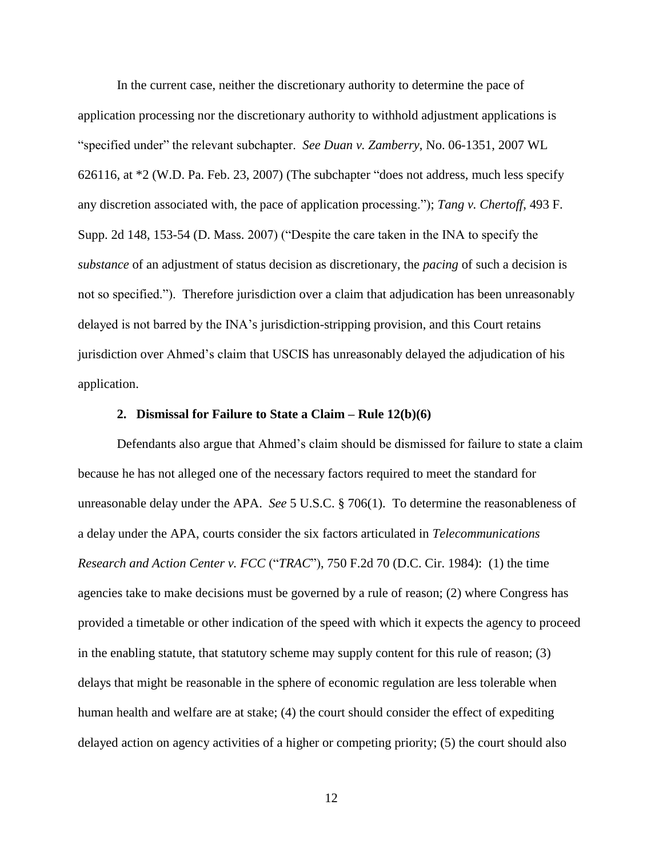In the current case, neither the discretionary authority to determine the pace of application processing nor the discretionary authority to withhold adjustment applications is "specified under" the relevant subchapter. *See Duan v. Zamberry*, No. 06-1351, 2007 WL 626116, at \*2 (W.D. Pa. Feb. 23, 2007) (The subchapter "does not address, much less specify any discretion associated with, the pace of application processing."); *Tang v. Chertoff*, 493 F. Supp. 2d 148, 153-54 (D. Mass. 2007) ("Despite the care taken in the INA to specify the *substance* of an adjustment of status decision as discretionary, the *pacing* of such a decision is not so specified."). Therefore jurisdiction over a claim that adjudication has been unreasonably delayed is not barred by the INA's jurisdiction-stripping provision, and this Court retains jurisdiction over Ahmed's claim that USCIS has unreasonably delayed the adjudication of his application.

# **2. Dismissal for Failure to State a Claim – Rule 12(b)(6)**

Defendants also argue that Ahmed's claim should be dismissed for failure to state a claim because he has not alleged one of the necessary factors required to meet the standard for unreasonable delay under the APA. *See* 5 U.S.C. § 706(1). To determine the reasonableness of a delay under the APA, courts consider the six factors articulated in *Telecommunications Research and Action Center v. FCC* ("*TRAC*"), 750 F.2d 70 (D.C. Cir. 1984): (1) the time agencies take to make decisions must be governed by a rule of reason; (2) where Congress has provided a timetable or other indication of the speed with which it expects the agency to proceed in the enabling statute, that statutory scheme may supply content for this rule of reason; (3) delays that might be reasonable in the sphere of economic regulation are less tolerable when human health and welfare are at stake; (4) the court should consider the effect of expediting delayed action on agency activities of a higher or competing priority; (5) the court should also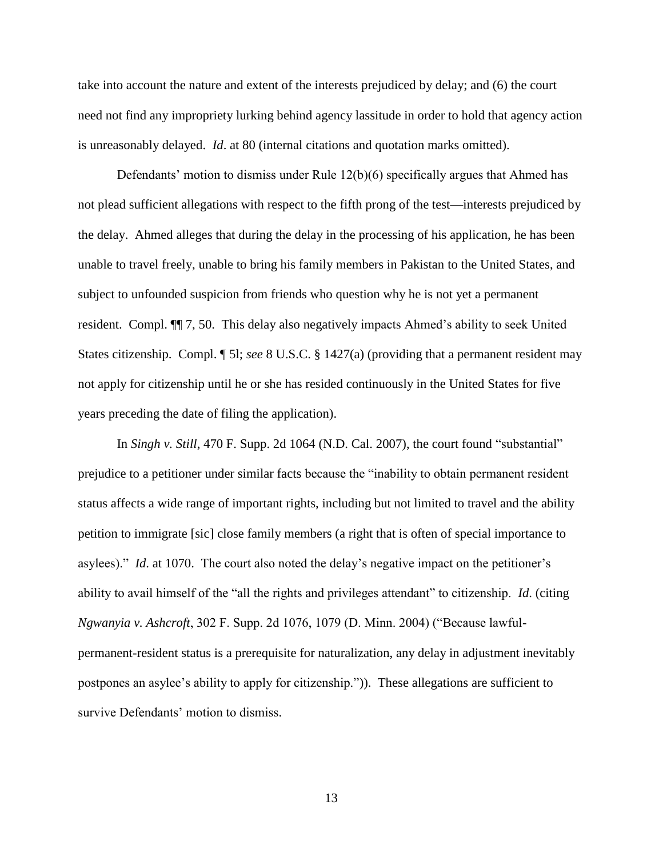take into account the nature and extent of the interests prejudiced by delay; and (6) the court need not find any impropriety lurking behind agency lassitude in order to hold that agency action is unreasonably delayed. *Id*. at 80 (internal citations and quotation marks omitted).

Defendants' motion to dismiss under Rule 12(b)(6) specifically argues that Ahmed has not plead sufficient allegations with respect to the fifth prong of the test—interests prejudiced by the delay. Ahmed alleges that during the delay in the processing of his application, he has been unable to travel freely, unable to bring his family members in Pakistan to the United States, and subject to unfounded suspicion from friends who question why he is not yet a permanent resident. Compl. ¶¶ 7, 50. This delay also negatively impacts Ahmed's ability to seek United States citizenship. Compl. ¶ 5l; *see* 8 U.S.C. § 1427(a) (providing that a permanent resident may not apply for citizenship until he or she has resided continuously in the United States for five years preceding the date of filing the application).

In *Singh v. Still*, 470 F. Supp. 2d 1064 (N.D. Cal. 2007), the court found "substantial" prejudice to a petitioner under similar facts because the "inability to obtain permanent resident status affects a wide range of important rights, including but not limited to travel and the ability petition to immigrate [sic] close family members (a right that is often of special importance to asylees)." *Id*. at 1070. The court also noted the delay's negative impact on the petitioner's ability to avail himself of the "all the rights and privileges attendant" to citizenship. *Id*. (citing *Ngwanyia v. Ashcroft*, 302 F. Supp. 2d 1076, 1079 (D. Minn. 2004) ("Because lawfulpermanent-resident status is a prerequisite for naturalization, any delay in adjustment inevitably postpones an asylee's ability to apply for citizenship.")). These allegations are sufficient to survive Defendants' motion to dismiss.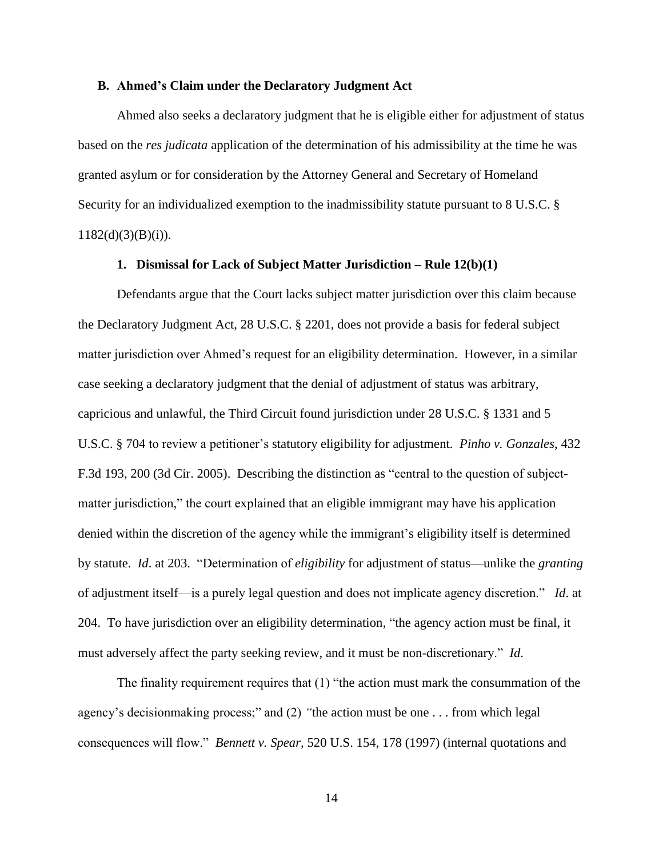#### **B. Ahmed's Claim under the Declaratory Judgment Act**

Ahmed also seeks a declaratory judgment that he is eligible either for adjustment of status based on the *res judicata* application of the determination of his admissibility at the time he was granted asylum or for consideration by the Attorney General and Secretary of Homeland Security for an individualized exemption to the inadmissibility statute pursuant to 8 U.S.C. §  $1182(d)(3)(B)(i)$ .

# **1. Dismissal for Lack of Subject Matter Jurisdiction – Rule 12(b)(1)**

Defendants argue that the Court lacks subject matter jurisdiction over this claim because the Declaratory Judgment Act, 28 U.S.C. § 2201, does not provide a basis for federal subject matter jurisdiction over Ahmed's request for an eligibility determination. However, in a similar case seeking a declaratory judgment that the denial of adjustment of status was arbitrary, capricious and unlawful, the Third Circuit found jurisdiction under 28 U.S.C. § 1331 and 5 U.S.C. § 704 to review a petitioner's statutory eligibility for adjustment. *Pinho v. Gonzales*, 432 F.3d 193, 200 (3d Cir. 2005). Describing the distinction as "central to the question of subjectmatter jurisdiction," the court explained that an eligible immigrant may have his application denied within the discretion of the agency while the immigrant's eligibility itself is determined by statute. *Id*. at 203. "Determination of *eligibility* for adjustment of status—unlike the *granting* of adjustment itself—is a purely legal question and does not implicate agency discretion." *Id*. at 204. To have jurisdiction over an eligibility determination, "the agency action must be final, it must adversely affect the party seeking review, and it must be non-discretionary." *Id*.

The finality requirement requires that (1) "the action must mark the consummation of the agency's decisionmaking process;" and (2) *"*the action must be one . . . from which legal consequences will flow." *Bennett v. Spear,* 520 U.S. 154, 178 (1997) (internal quotations and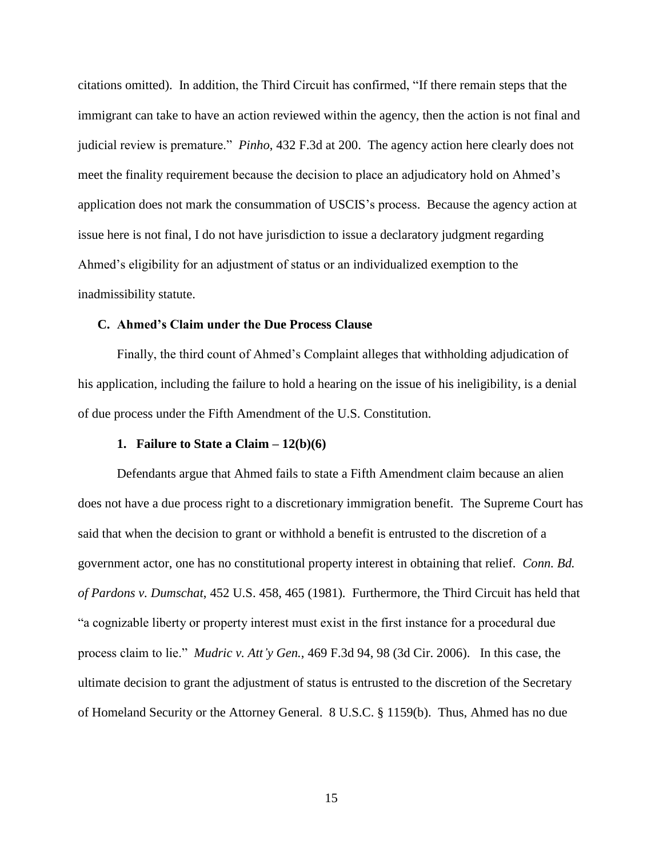citations omitted). In addition, the Third Circuit has confirmed, "If there remain steps that the immigrant can take to have an action reviewed within the agency, then the action is not final and judicial review is premature." *Pinho*, 432 F.3d at 200. The agency action here clearly does not meet the finality requirement because the decision to place an adjudicatory hold on Ahmed's application does not mark the consummation of USCIS's process. Because the agency action at issue here is not final, I do not have jurisdiction to issue a declaratory judgment regarding Ahmed's eligibility for an adjustment of status or an individualized exemption to the inadmissibility statute.

# **C. Ahmed's Claim under the Due Process Clause**

Finally, the third count of Ahmed's Complaint alleges that withholding adjudication of his application, including the failure to hold a hearing on the issue of his ineligibility, is a denial of due process under the Fifth Amendment of the U.S. Constitution.

#### **1. Failure to State a Claim – 12(b)(6)**

Defendants argue that Ahmed fails to state a Fifth Amendment claim because an alien does not have a due process right to a discretionary immigration benefit. The Supreme Court has said that when the decision to grant or withhold a benefit is entrusted to the discretion of a government actor, one has no constitutional property interest in obtaining that relief. *Conn. Bd. of Pardons v. Dumschat*, 452 U.S. 458, 465 (1981)*.* Furthermore, the Third Circuit has held that "a cognizable liberty or property interest must exist in the first instance for a procedural due process claim to lie." *Mudric v. Att'y Gen.*, 469 F.3d 94, 98 (3d Cir. 2006). In this case, the ultimate decision to grant the adjustment of status is entrusted to the discretion of the Secretary of Homeland Security or the Attorney General. 8 U.S.C. § 1159(b). Thus, Ahmed has no due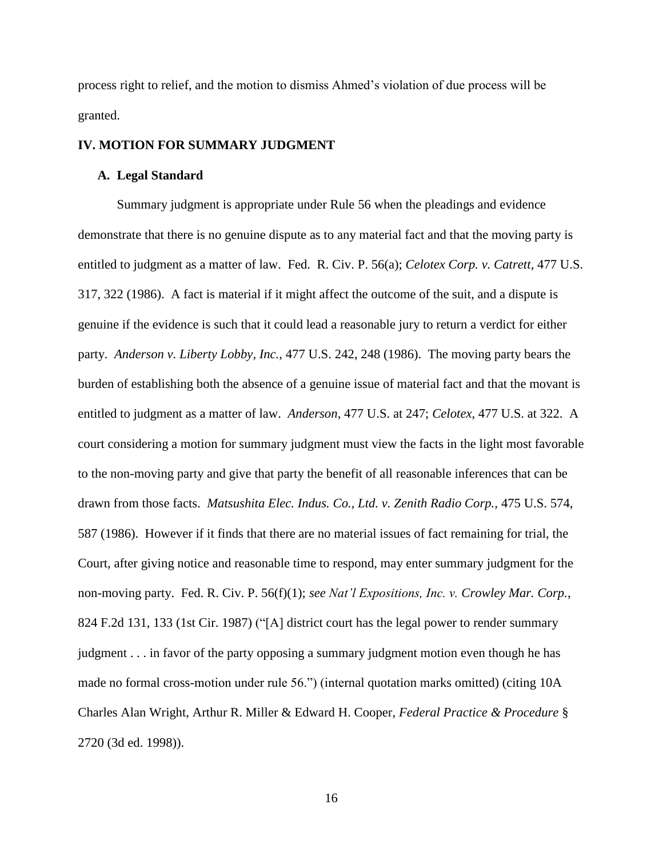process right to relief, and the motion to dismiss Ahmed's violation of due process will be granted.

# **IV. MOTION FOR SUMMARY JUDGMENT**

# **A. Legal Standard**

Summary judgment is appropriate under Rule 56 when the pleadings and evidence demonstrate that there is no genuine dispute as to any material fact and that the moving party is entitled to judgment as a matter of law. Fed. R. Civ. P. 56(a); *Celotex Corp. v. Catrett*, 477 U.S. 317, 322 (1986). A fact is material if it might affect the outcome of the suit, and a dispute is genuine if the evidence is such that it could lead a reasonable jury to return a verdict for either party. *Anderson v. Liberty Lobby, Inc.,* 477 U.S. 242, 248 (1986). The moving party bears the burden of establishing both the absence of a genuine issue of material fact and that the movant is entitled to judgment as a matter of law. *Anderson*, 477 U.S. at 247; *Celotex*, 477 U.S. at 322. A court considering a motion for summary judgment must view the facts in the light most favorable to the non-moving party and give that party the benefit of all reasonable inferences that can be drawn from those facts. *Matsushita Elec. Indus. Co., Ltd. v. Zenith Radio Corp.,* 475 U.S. 574, 587 (1986). However if it finds that there are no material issues of fact remaining for trial, the Court, after giving notice and reasonable time to respond, may enter summary judgment for the non-moving party. Fed. R. Civ. P. 56(f)(1); *see Nat'l Expositions, Inc. v. Crowley Mar. Corp.*, 824 F.2d 131, 133 (1st Cir. 1987) ("[A] district court has the legal power to render summary judgment . . . in favor of the party opposing a summary judgment motion even though he has made no formal cross-motion under rule 56.") (internal quotation marks omitted) (citing 10A Charles Alan Wright, Arthur R. Miller & Edward H. Cooper, *Federal Practice & Procedure* § 2720 (3d ed. 1998)).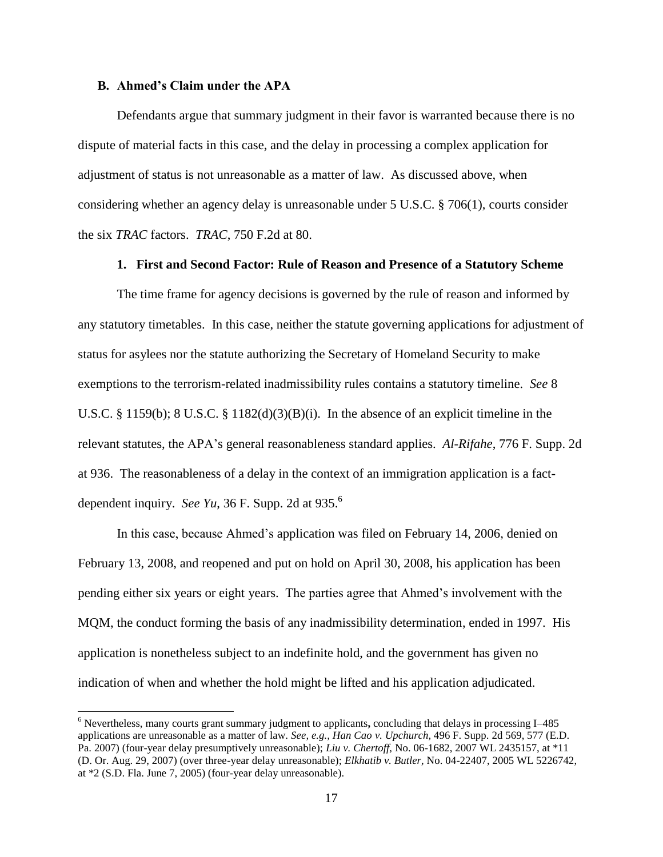#### **B. Ahmed's Claim under the APA**

 $\overline{a}$ 

Defendants argue that summary judgment in their favor is warranted because there is no dispute of material facts in this case, and the delay in processing a complex application for adjustment of status is not unreasonable as a matter of law. As discussed above, when considering whether an agency delay is unreasonable under 5 U.S.C. § 706(1), courts consider the six *TRAC* factors. *TRAC*, 750 F.2d at 80.

# **1. First and Second Factor: Rule of Reason and Presence of a Statutory Scheme**

The time frame for agency decisions is governed by the rule of reason and informed by any statutory timetables. In this case, neither the statute governing applications for adjustment of status for asylees nor the statute authorizing the Secretary of Homeland Security to make exemptions to the terrorism-related inadmissibility rules contains a statutory timeline. *See* 8 U.S.C. § 1159(b); 8 U.S.C. § 1182(d)(3)(B)(i). In the absence of an explicit timeline in the relevant statutes, the APA's general reasonableness standard applies. *Al-Rifahe*, 776 F. Supp. 2d at 936. The reasonableness of a delay in the context of an immigration application is a factdependent inquiry. *See Yu*, 36 F. Supp. 2d at 935. 6

In this case, because Ahmed's application was filed on February 14, 2006, denied on February 13, 2008, and reopened and put on hold on April 30, 2008, his application has been pending either six years or eight years. The parties agree that Ahmed's involvement with the MQM, the conduct forming the basis of any inadmissibility determination, ended in 1997. His application is nonetheless subject to an indefinite hold, and the government has given no indication of when and whether the hold might be lifted and his application adjudicated.

<sup>6</sup> Nevertheless, many courts grant summary judgment to applicants**,** concluding that delays in processing I–485 applications are unreasonable as a matter of law. *See, e.g., Han Cao v. Upchurch,* 496 F. Supp. 2d 569, 577 (E.D. Pa. 2007) (four-year delay presumptively unreasonable); *Liu v. Chertoff,* No. 06-1682, 2007 WL 2435157, at \*11 (D. Or. Aug. 29, 2007) (over three-year delay unreasonable); *Elkhatib v. Butler,* No. 04-22407, 2005 WL 5226742, at \*2 (S.D. Fla. June 7, 2005) (four-year delay unreasonable).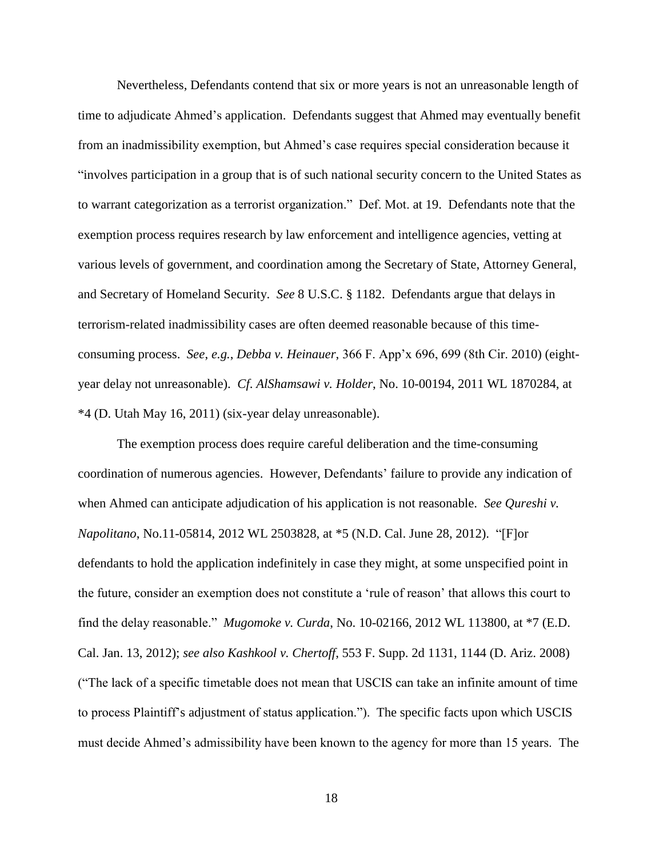Nevertheless, Defendants contend that six or more years is not an unreasonable length of time to adjudicate Ahmed's application. Defendants suggest that Ahmed may eventually benefit from an inadmissibility exemption, but Ahmed's case requires special consideration because it "involves participation in a group that is of such national security concern to the United States as to warrant categorization as a terrorist organization." Def. Mot. at 19. Defendants note that the exemption process requires research by law enforcement and intelligence agencies, vetting at various levels of government, and coordination among the Secretary of State, Attorney General, and Secretary of Homeland Security. *See* 8 U.S.C. § 1182. Defendants argue that delays in terrorism-related inadmissibility cases are often deemed reasonable because of this timeconsuming process. *See*, *e.g.*, *Debba v. Heinauer*, 366 F. App'x 696, 699 (8th Cir. 2010) (eightyear delay not unreasonable). *Cf*. *AlShamsawi v. Holder*, No. 10-00194, 2011 WL 1870284, at \*4 (D. Utah May 16, 2011) (six-year delay unreasonable).

The exemption process does require careful deliberation and the time-consuming coordination of numerous agencies. However, Defendants' failure to provide any indication of when Ahmed can anticipate adjudication of his application is not reasonable. *See Qureshi v. Napolitano*, No.11-05814, 2012 WL 2503828, at \*5 (N.D. Cal. June 28, 2012). "[F]or defendants to hold the application indefinitely in case they might, at some unspecified point in the future, consider an exemption does not constitute a 'rule of reason' that allows this court to find the delay reasonable." *Mugomoke v. Curda*, No. 10-02166, 2012 WL 113800, at \*7 (E.D. Cal. Jan. 13, 2012); *see also Kashkool v. Chertoff*, 553 F. Supp. 2d 1131, 1144 (D. Ariz. 2008) ("The lack of a specific timetable does not mean that USCIS can take an infinite amount of time to process Plaintiff's adjustment of status application."). The specific facts upon which USCIS must decide Ahmed's admissibility have been known to the agency for more than 15 years. The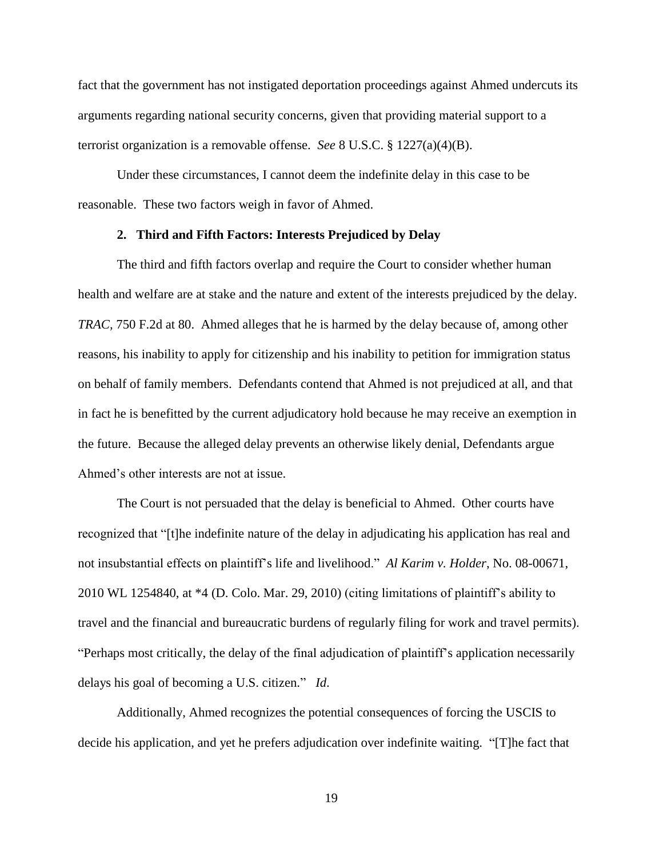fact that the government has not instigated deportation proceedings against Ahmed undercuts its arguments regarding national security concerns, given that providing material support to a terrorist organization is a removable offense. *See* 8 U.S.C. § 1227(a)(4)(B).

Under these circumstances, I cannot deem the indefinite delay in this case to be reasonable.These two factors weigh in favor of Ahmed.

### **2. Third and Fifth Factors: Interests Prejudiced by Delay**

The third and fifth factors overlap and require the Court to consider whether human health and welfare are at stake and the nature and extent of the interests prejudiced by the delay. *TRAC,* 750 F.2d at 80. Ahmed alleges that he is harmed by the delay because of, among other reasons, his inability to apply for citizenship and his inability to petition for immigration status on behalf of family members. Defendants contend that Ahmed is not prejudiced at all, and that in fact he is benefitted by the current adjudicatory hold because he may receive an exemption in the future. Because the alleged delay prevents an otherwise likely denial, Defendants argue Ahmed's other interests are not at issue.

The Court is not persuaded that the delay is beneficial to Ahmed. Other courts have recognized that "[t]he indefinite nature of the delay in adjudicating his application has real and not insubstantial effects on plaintiff's life and livelihood." *Al Karim v. Holder*, No. 08-00671, 2010 WL 1254840, at \*4 (D. Colo. Mar. 29, 2010) (citing limitations of plaintiff's ability to travel and the financial and bureaucratic burdens of regularly filing for work and travel permits). "Perhaps most critically, the delay of the final adjudication of plaintiff's application necessarily delays his goal of becoming a U.S. citizen." *Id*.

Additionally, Ahmed recognizes the potential consequences of forcing the USCIS to decide his application, and yet he prefers adjudication over indefinite waiting. "[T]he fact that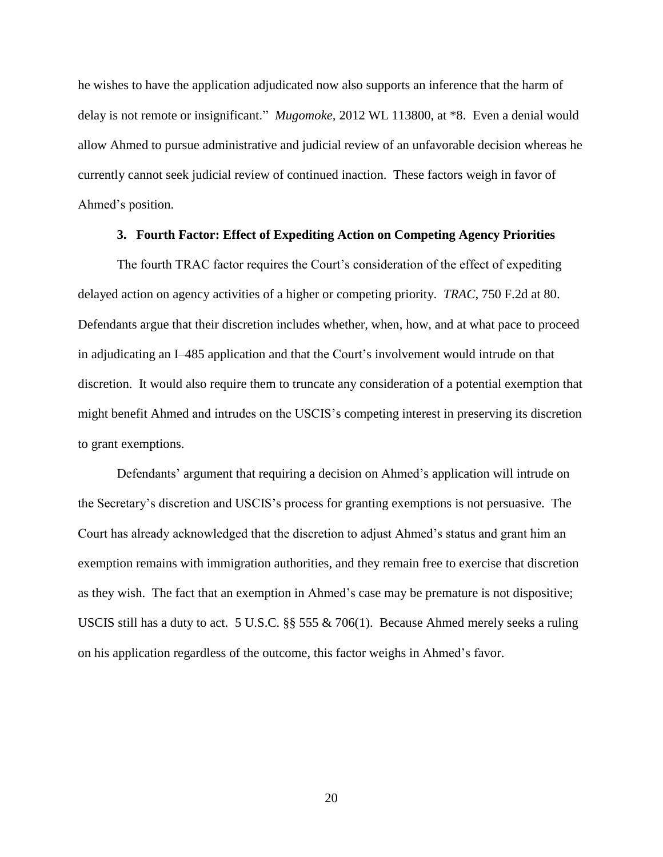he wishes to have the application adjudicated now also supports an inference that the harm of delay is not remote or insignificant." *Mugomoke,* 2012 WL 113800, at \*8. Even a denial would allow Ahmed to pursue administrative and judicial review of an unfavorable decision whereas he currently cannot seek judicial review of continued inaction. These factors weigh in favor of Ahmed's position.

# **3. Fourth Factor: Effect of Expediting Action on Competing Agency Priorities**

The fourth TRAC factor requires the Court's consideration of the effect of expediting delayed action on agency activities of a higher or competing priority. *TRAC*, 750 F.2d at 80. Defendants argue that their discretion includes whether, when, how, and at what pace to proceed in adjudicating an I–485 application and that the Court's involvement would intrude on that discretion. It would also require them to truncate any consideration of a potential exemption that might benefit Ahmed and intrudes on the USCIS's competing interest in preserving its discretion to grant exemptions.

Defendants' argument that requiring a decision on Ahmed's application will intrude on the Secretary's discretion and USCIS's process for granting exemptions is not persuasive. The Court has already acknowledged that the discretion to adjust Ahmed's status and grant him an exemption remains with immigration authorities, and they remain free to exercise that discretion as they wish. The fact that an exemption in Ahmed's case may be premature is not dispositive; USCIS still has a duty to act. 5 U.S.C. §§ 555 & 706(1). Because Ahmed merely seeks a ruling on his application regardless of the outcome, this factor weighs in Ahmed's favor.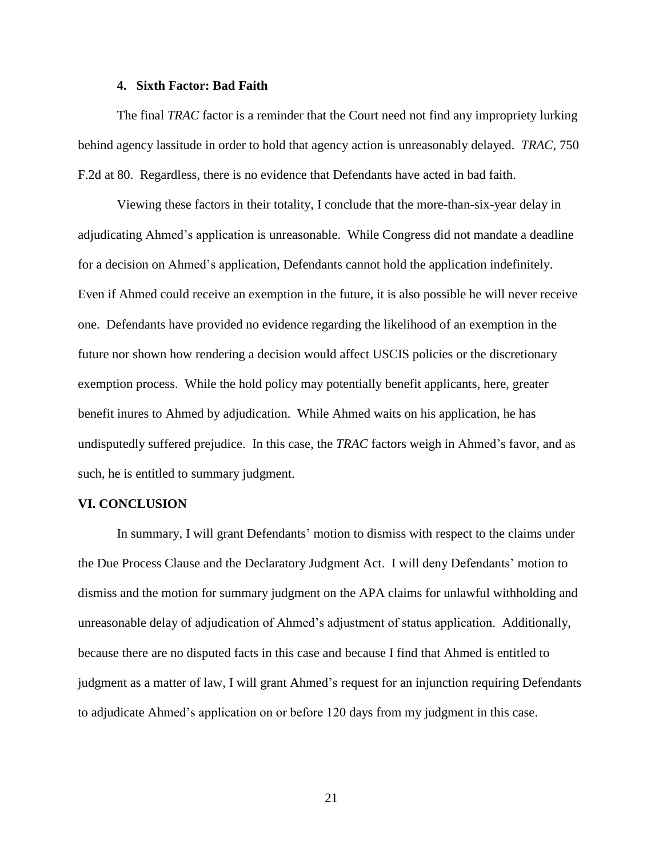#### **4. Sixth Factor: Bad Faith**

The final *TRAC* factor is a reminder that the Court need not find any impropriety lurking behind agency lassitude in order to hold that agency action is unreasonably delayed. *TRAC*, 750 F.2d at 80. Regardless, there is no evidence that Defendants have acted in bad faith.

Viewing these factors in their totality, I conclude that the more-than-six-year delay in adjudicating Ahmed's application is unreasonable. While Congress did not mandate a deadline for a decision on Ahmed's application, Defendants cannot hold the application indefinitely. Even if Ahmed could receive an exemption in the future, it is also possible he will never receive one. Defendants have provided no evidence regarding the likelihood of an exemption in the future nor shown how rendering a decision would affect USCIS policies or the discretionary exemption process. While the hold policy may potentially benefit applicants, here, greater benefit inures to Ahmed by adjudication. While Ahmed waits on his application, he has undisputedly suffered prejudice. In this case, the *TRAC* factors weigh in Ahmed's favor, and as such, he is entitled to summary judgment.

### **VI. CONCLUSION**

In summary, I will grant Defendants' motion to dismiss with respect to the claims under the Due Process Clause and the Declaratory Judgment Act. I will deny Defendants' motion to dismiss and the motion for summary judgment on the APA claims for unlawful withholding and unreasonable delay of adjudication of Ahmed's adjustment of status application. Additionally, because there are no disputed facts in this case and because I find that Ahmed is entitled to judgment as a matter of law, I will grant Ahmed's request for an injunction requiring Defendants to adjudicate Ahmed's application on or before 120 days from my judgment in this case.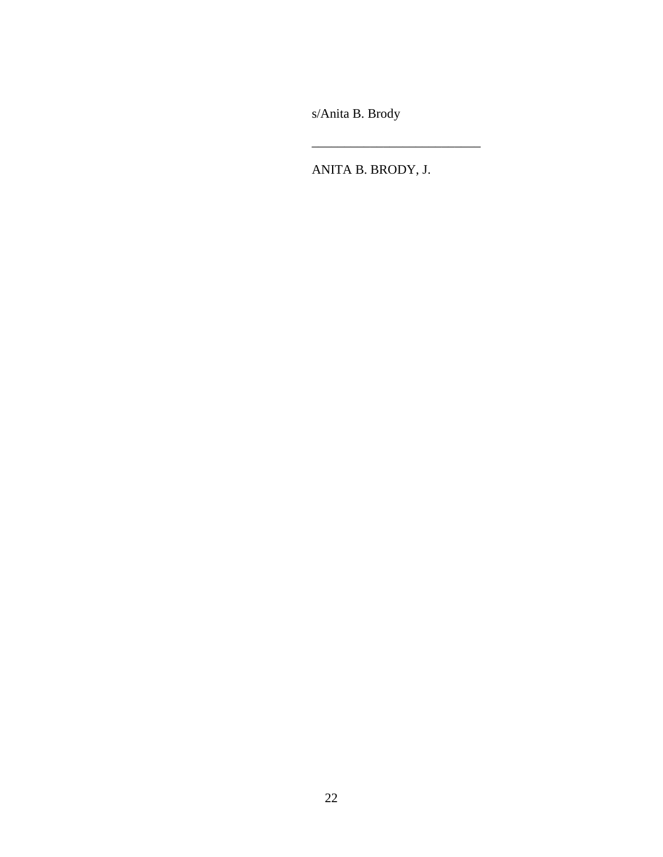s/Anita B. Brody

ANITA B. BRODY, J.